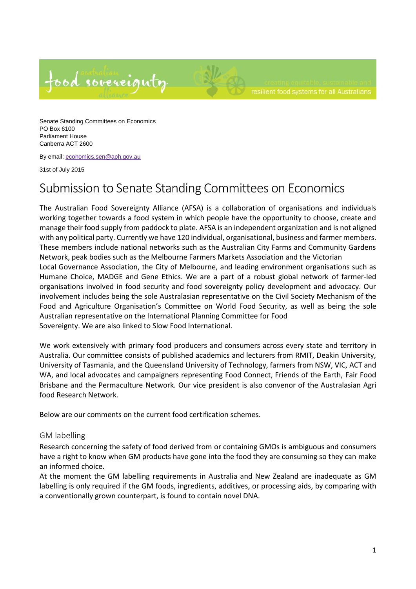



Senate Standing Committees on Economics PO Box 6100 Parliament House Canberra ACT 2600

By email: economics.sen@aph.gov.au

31st of July 2015

## Submission to Senate Standing Committees on Economics

The Australian Food Sovereignty Alliance (AFSA) is a collaboration of organisations and individuals working together towards a food system in which people have the opportunity to choose, create and manage their food supply from paddock to plate. AFSA is an independent organization and is not aligned with any political party. Currently we have 120 individual, organisational, business and farmer members. These members include national networks such as the Australian City Farms and Community Gardens Network, peak bodies such as the Melbourne Farmers Markets Association and the Victorian Local Governance Association, the City of Melbourne, and leading environment organisations such as Humane Choice, MADGE and Gene Ethics. We are a part of a robust global network of farmer-led organisations involved in food security and food sovereignty policy development and advocacy. Our involvement includes being the sole Australasian representative on the Civil Society Mechanism of the Food and Agriculture Organisation's Committee on World Food Security, as well as being the sole Australian representative on the International Planning Committee for Food

Sovereignty. We are also linked to Slow Food International.

We work extensively with primary food producers and consumers across every state and territory in Australia. Our committee consists of published academics and lecturers from RMIT, Deakin University, University of Tasmania, and the Queensland University of Technology, farmers from NSW, VIC, ACT and WA, and local advocates and campaigners representing Food Connect, Friends of the Earth, Fair Food Brisbane and the Permaculture Network. Our vice president is also convenor of the Australasian Agri food Research Network.

Below are our comments on the current food certification schemes.

## GM labelling

Research concerning the safety of food derived from or containing GMOs is ambiguous and consumers have a right to know when GM products have gone into the food they are consuming so they can make an informed choice.

At the moment the GM labelling requirements in Australia and New Zealand are inadequate as GM labelling is only required if the GM foods, ingredients, additives, or processing aids, by comparing with a conventionally grown counterpart, is found to contain novel DNA.